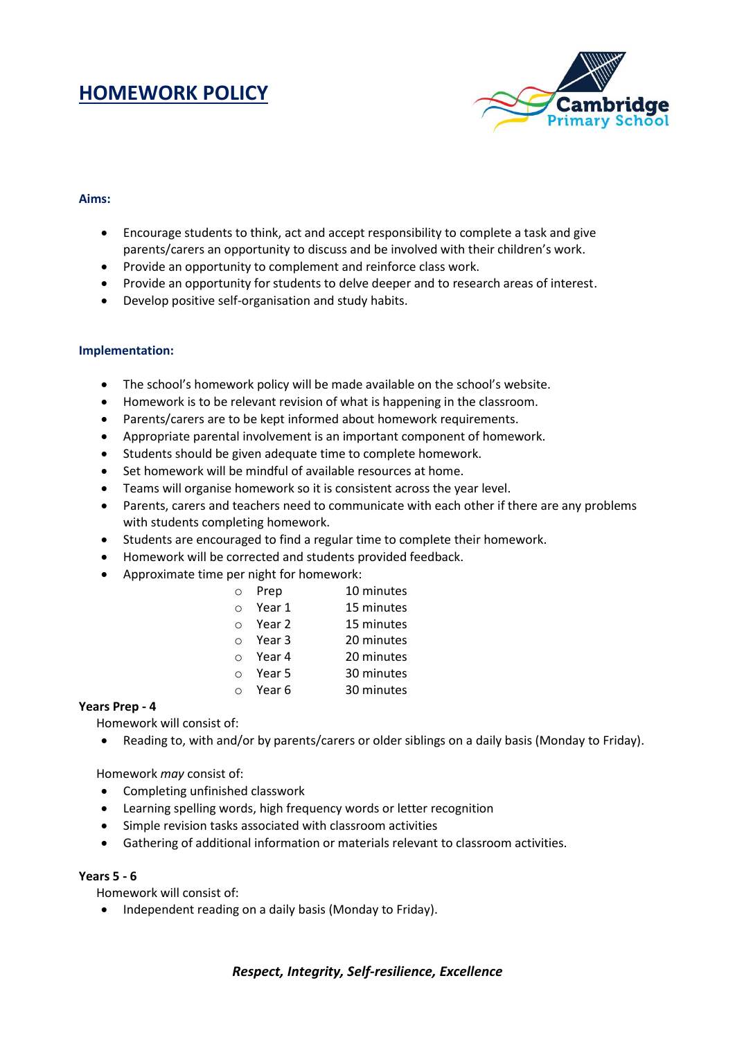# **HOMEWORK POLICY**



#### **Aims:**

- Encourage students to think, act and accept responsibility to complete a task and give parents/carers an opportunity to discuss and be involved with their children's work.
- Provide an opportunity to complement and reinforce class work.
- Provide an opportunity for students to delve deeper and to research areas of interest.
- Develop positive self-organisation and study habits.

### **Implementation:**

- The school's homework policy will be made available on the school's website.
- Homework is to be relevant revision of what is happening in the classroom.
- Parents/carers are to be kept informed about homework requirements.
- Appropriate parental involvement is an important component of homework.
- Students should be given adequate time to complete homework.
- Set homework will be mindful of available resources at home.
- Teams will organise homework so it is consistent across the year level.
- Parents, carers and teachers need to communicate with each other if there are any problems with students completing homework.
- Students are encouraged to find a regular time to complete their homework.
- Homework will be corrected and students provided feedback.
- Approximate time per night for homework:

| O         | Prep   | 10 minutes |
|-----------|--------|------------|
| $\bigcap$ | Year 1 | 15 minutes |
| $\Omega$  | Year 2 | 15 minutes |
| $\cap$    | Year 3 | 20 minutes |
| $\cap$    | Year 4 | 20 minutes |
| $\cap$    | Year 5 | 30 minutes |
| $\circ$   | Year 6 | 30 minutes |
|           |        |            |

### **Years Prep - 4**

Homework will consist of:

Reading to, with and/or by parents/carers or older siblings on a daily basis (Monday to Friday).

Homework *may* consist of:

- Completing unfinished classwork
- Learning spelling words, high frequency words or letter recognition
- Simple revision tasks associated with classroom activities
- Gathering of additional information or materials relevant to classroom activities.

### **Years 5 - 6**

Homework will consist of:

• Independent reading on a daily basis (Monday to Friday).